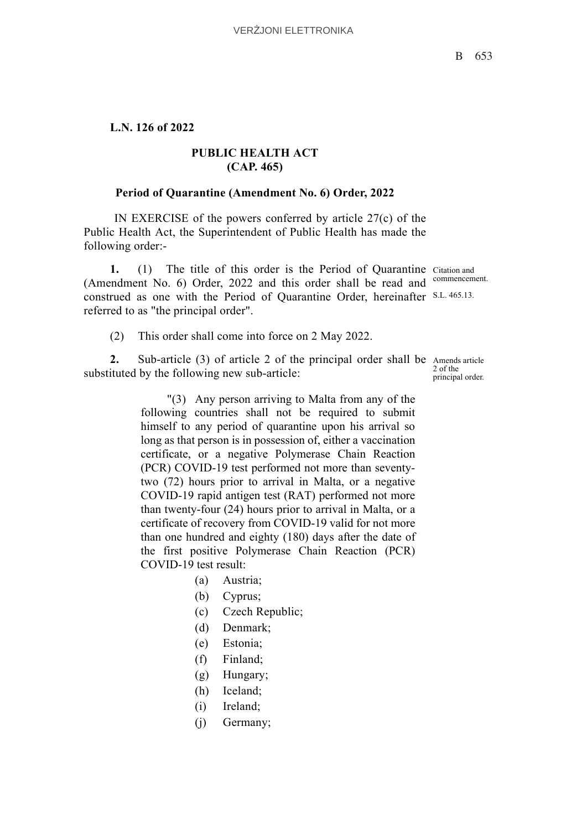## **L.N. 126 of 2022**

## **PUBLIC HEALTH ACT (CAP. 465)**

## **Period of Quarantine (Amendment No. 6) Order, 2022**

 IN EXERCISE of the powers conferred by article 27(c) of the Public Health Act, the Superintendent of Public Health has made the following order:-

1. (1) The title of this order is the Period of Quarantine Citation and (Amendment No. 6) Order, 2022 and this order shall be read and commencement. construed as one with the Period of Quarantine Order, hereinafter S.L. 465.13. referred to as "the principal order".

(2) This order shall come into force on 2 May 2022.

2. Sub-article (3) of article 2 of the principal order shall be Amends article 2 of the substituted by the following new sub-article:

principal order.

"(3) Any person arriving to Malta from any of the following countries shall not be required to submit himself to any period of quarantine upon his arrival so long as that person is in possession of, either a vaccination certificate, or a negative Polymerase Chain Reaction (PCR) COVID-19 test performed not more than seventytwo (72) hours prior to arrival in Malta, or a negative COVID-19 rapid antigen test (RAT) performed not more than twenty-four (24) hours prior to arrival in Malta, or a certificate of recovery from COVID-19 valid for not more than one hundred and eighty (180) days after the date of the first positive Polymerase Chain Reaction (PCR) COVID-19 test result:

- (a) Austria;
- (b) Cyprus;
- (c) Czech Republic;
- (d) Denmark;
- (e) Estonia;
- (f) Finland;
- (g) Hungary;
- (h) Iceland;
- (i) Ireland;
- (j) Germany;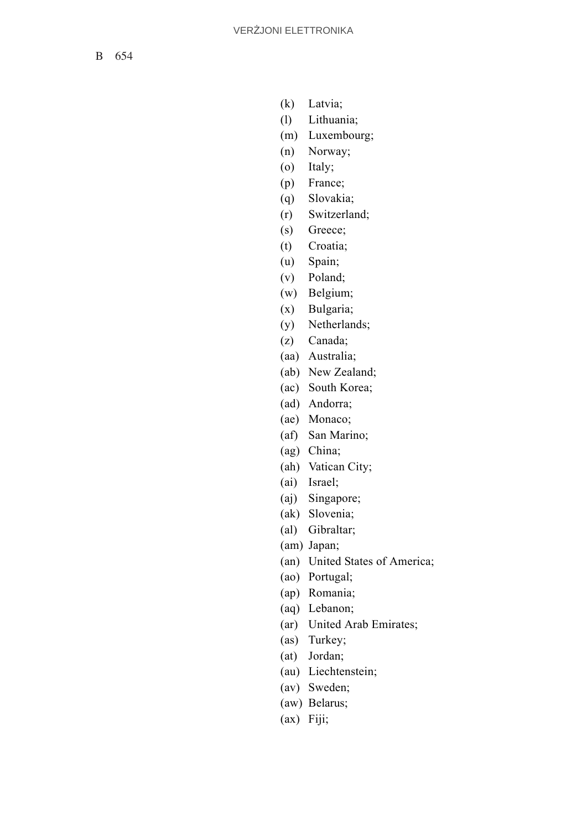B 654

- (k) Latvia;
- (l) Lithuania;
- (m) Luxembourg;
- (n) Norway;
- (o) Italy;
- (p) France;
- (q) Slovakia;
- (r) Switzerland;
- (s) Greece;
- (t) Croatia;
- (u) Spain;
- (v) Poland;
- (w) Belgium;
- (x) Bulgaria;
- (y) Netherlands;
- (z) Canada;
- (aa) Australia;
- (ab) New Zealand;
- (ac) South Korea;
- (ad) Andorra;
- (ae) Monaco;
- (af) San Marino;
- (ag) China;
- (ah) Vatican City;
- (ai) Israel;
- (aj) Singapore;
- (ak) Slovenia;
- (al) Gibraltar;
- (am) Japan;
- (an) United States of America;
- (ao) Portugal;
- (ap) Romania;
- (aq) Lebanon;
- (ar) United Arab Emirates;
- (as) Turkey;
- (at) Jordan;
- (au) Liechtenstein;
- (av) Sweden;
- (aw) Belarus;
- (ax) Fiji;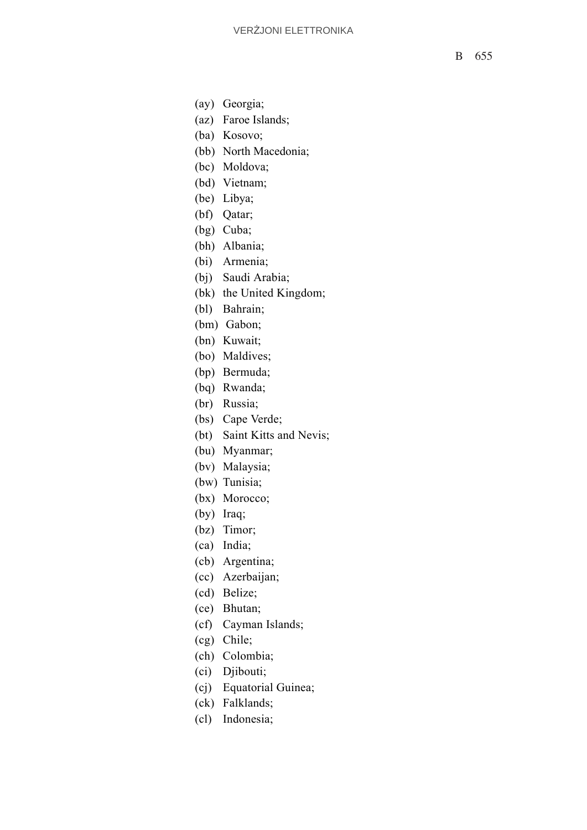- (ay) Georgia;
- (az) Faroe Islands;
- (ba) Kosovo;
- (bb) North Macedonia;
- (bc) Moldova;
- (bd) Vietnam;
- (be) Libya;
- (bf) Qatar;
- (bg) Cuba;
- (bh) Albania;
- (bi) Armenia;
- (bj) Saudi Arabia;
- (bk) the United Kingdom;
- (bl) Bahrain;
- (bm) Gabon;
- (bn) Kuwait;
- (bo) Maldives;
- (bp) Bermuda;
- (bq) Rwanda;
- (br) Russia;
- (bs) Cape Verde;
- (bt) Saint Kitts and Nevis;
- (bu) Myanmar;
- (bv) Malaysia;
- (bw) Tunisia;
- (bx) Morocco;
- (by) Iraq;
- (bz) Timor;
- (ca) India;
- (cb) Argentina;
- (cc) Azerbaijan;
- (cd) Belize;
- (ce) Bhutan;
- (cf) Cayman Islands;
- (cg) Chile;
- (ch) Colombia;
- (ci) Djibouti;
- (cj) Equatorial Guinea;
- (ck) Falklands;
- (cl) Indonesia;